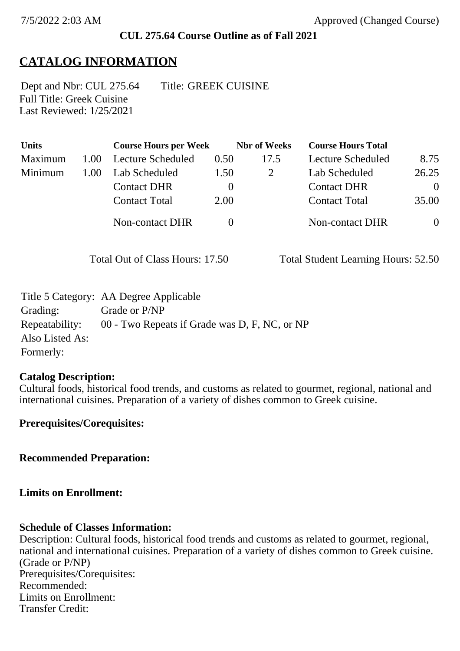#### **CUL 275.64 Course Outline as of Fall 2021**

# **CATALOG INFORMATION**

Full Title: Greek Cuisine Last Reviewed: 1/25/2021 Dept and Nbr: CUL 275.64 Title: GREEK CUISINE

| <b>Units</b> |      | <b>Course Hours per Week</b> |          | <b>Nbr</b> of Weeks | <b>Course Hours Total</b> |                |
|--------------|------|------------------------------|----------|---------------------|---------------------------|----------------|
| Maximum      | 1.00 | Lecture Scheduled            | 0.50     | 17.5                | Lecture Scheduled         | 8.75           |
| Minimum      | 1.00 | Lab Scheduled                | 1.50     |                     | Lab Scheduled             | 26.25          |
|              |      | <b>Contact DHR</b>           | $\theta$ |                     | <b>Contact DHR</b>        | $\Omega$       |
|              |      | <b>Contact Total</b>         | 2.00     |                     | <b>Contact Total</b>      | 35.00          |
|              |      | Non-contact DHR              |          |                     | <b>Non-contact DHR</b>    | $\overline{0}$ |

Total Out of Class Hours: 17.50 Total Student Learning Hours: 52.50

|                 | Title 5 Category: AA Degree Applicable        |
|-----------------|-----------------------------------------------|
| Grading:        | Grade or P/NP                                 |
| Repeatability:  | 00 - Two Repeats if Grade was D, F, NC, or NP |
| Also Listed As: |                                               |
| Formerly:       |                                               |

#### **Catalog Description:**

Cultural foods, historical food trends, and customs as related to gourmet, regional, national and international cuisines. Preparation of a variety of dishes common to Greek cuisine.

**Prerequisites/Corequisites:**

**Recommended Preparation:**

#### **Limits on Enrollment:**

#### **Schedule of Classes Information:**

Description: Cultural foods, historical food trends and customs as related to gourmet, regional, national and international cuisines. Preparation of a variety of dishes common to Greek cuisine. (Grade or P/NP) Prerequisites/Corequisites: Recommended: Limits on Enrollment: Transfer Credit: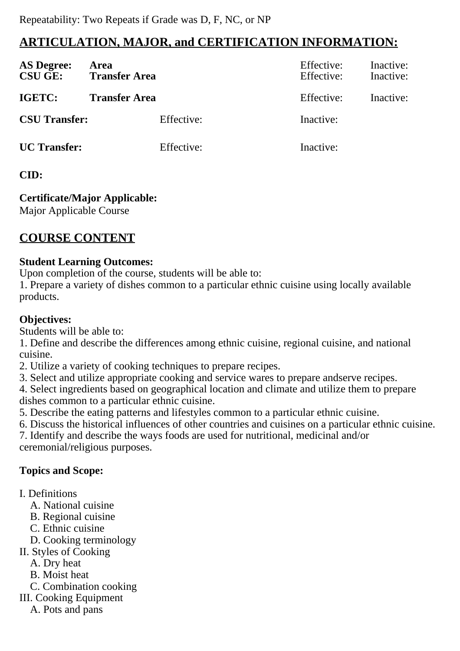# **ARTICULATION, MAJOR, and CERTIFICATION INFORMATION:**

| <b>AS Degree:</b><br><b>CSU GE:</b> | Area<br><b>Transfer Area</b> | Effective:<br>Effective: | Inactive:<br>Inactive: |
|-------------------------------------|------------------------------|--------------------------|------------------------|
| IGETC:                              | <b>Transfer Area</b>         | Effective:               | Inactive:              |
| <b>CSU Transfer:</b>                | Effective:                   | Inactive:                |                        |
| <b>UC</b> Transfer:                 | Effective:                   | Inactive:                |                        |

### **CID:**

**Certificate/Major Applicable:** 

[Major Applicable Course](SR_ClassCheck.aspx?CourseKey=CUL275.64)

# **COURSE CONTENT**

### **Student Learning Outcomes:**

Upon completion of the course, students will be able to:

1. Prepare a variety of dishes common to a particular ethnic cuisine using locally available products.

## **Objectives:**

Students will be able to:

1. Define and describe the differences among ethnic cuisine, regional cuisine, and national cuisine.

2. Utilize a variety of cooking techniques to prepare recipes.

3. Select and utilize appropriate cooking and service wares to prepare andserve recipes.

4. Select ingredients based on geographical location and climate and utilize them to prepare dishes common to a particular ethnic cuisine.

5. Describe the eating patterns and lifestyles common to a particular ethnic cuisine.

6. Discuss the historical influences of other countries and cuisines on a particular ethnic cuisine.

7. Identify and describe the ways foods are used for nutritional, medicinal and/or ceremonial/religious purposes.

## **Topics and Scope:**

- I. Definitions
	- A. National cuisine
	- B. Regional cuisine
	- C. Ethnic cuisine
	- D. Cooking terminology
- II. Styles of Cooking
	- A. Dry heat
	- B. Moist heat
	- C. Combination cooking
- III. Cooking Equipment
	- A. Pots and pans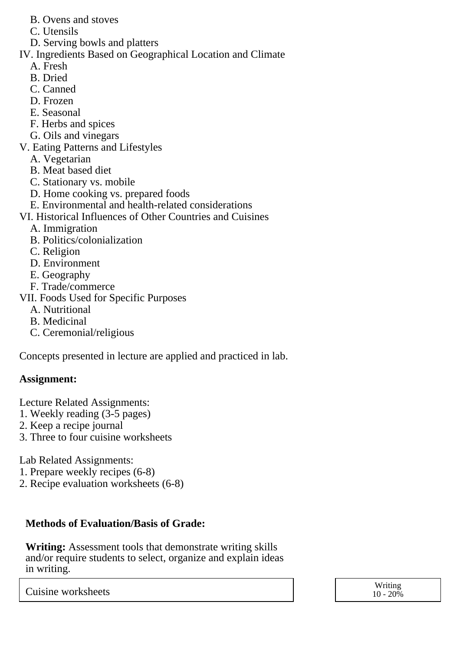- B. Ovens and stoves
- C. Utensils
- D. Serving bowls and platters
- IV. Ingredients Based on Geographical Location and Climate
	- A. Fresh
	- B. Dried
	- C. Canned
	- D. Frozen
	- E. Seasonal
	- F. Herbs and spices
	- G. Oils and vinegars
- V. Eating Patterns and Lifestyles
	- A. Vegetarian
	- B. Meat based diet
	- C. Stationary vs. mobile
	- D. Home cooking vs. prepared foods
	- E. Environmental and health-related considerations
- VI. Historical Influences of Other Countries and Cuisines
	- A. Immigration
	- B. Politics/colonialization
	- C. Religion
	- D. Environment
	- E. Geography
	- F. Trade/commerce
- VII. Foods Used for Specific Purposes
	- A. Nutritional
	- B. Medicinal
	- C. Ceremonial/religious

Concepts presented in lecture are applied and practiced in lab.

## **Assignment:**

Lecture Related Assignments:

- 1. Weekly reading (3-5 pages)
- 2. Keep a recipe journal
- 3. Three to four cuisine worksheets

Lab Related Assignments:

- 1. Prepare weekly recipes (6-8)
- 2. Recipe evaluation worksheets (6-8)

# **Methods of Evaluation/Basis of Grade:**

**Writing:** Assessment tools that demonstrate writing skills and/or require students to select, organize and explain ideas in writing.

Cuisine worksheets Writing Number 2006

 $10 - 20\%$